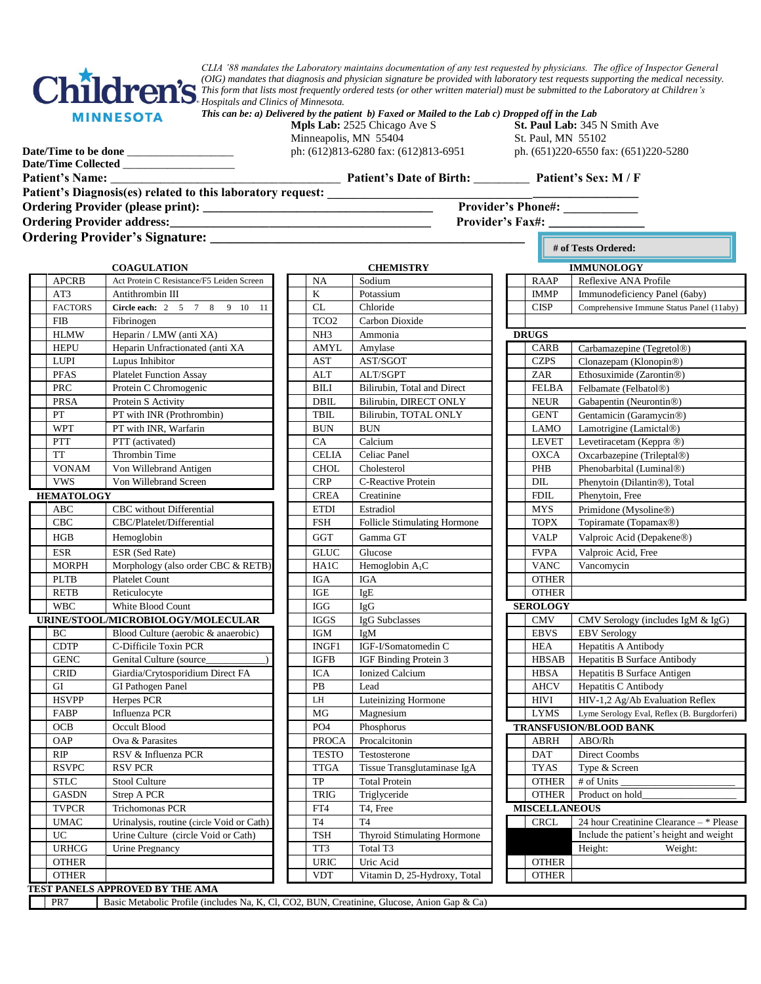

*CLIA '88 mandates the Laboratory maintains documentation of any test requested by physicians. The office of Inspector General (OIG) mandates that diagnosis and physician signature be provided with laboratory test requests supporting the medical necessity. This form that lists most frequently ordered tests (or other written material) must be submitted to the Laboratory at Children's Hospitals and Clinics of Minnesota.*

| This can be: a) Delivered by the patient b) Faxed or Mailed to the Lab c) Dropped off in the Lab |  |  |
|--------------------------------------------------------------------------------------------------|--|--|
|--------------------------------------------------------------------------------------------------|--|--|

Minneapolis, MN 55404 St. Paul, MN 55102

**Mpls Lab:** 2525 Chicago Ave S<br>**Mpls Lab:** 2525 Chicago Ave S<br>**St. Paul Lab:** 345 N Smith Ave **Date/Time to be done** \_\_\_\_\_\_\_\_\_\_\_\_\_\_\_\_\_\_\_\_\_\_ ph: (612)813-6280 fax: (612)813-6951 ph. (651)220-6550 fax: (651)220-5280

**# of Tests Ordered:**

**Date/Time Collected** \_\_\_\_\_\_\_\_\_\_\_\_\_\_\_\_\_\_\_\_

**Patient's Name:** \_\_\_\_\_\_\_\_\_\_\_\_\_\_\_\_\_\_\_\_\_\_\_\_\_\_\_\_\_\_\_\_\_\_\_\_\_ **Patient's Date of Birth:** \_\_\_\_\_\_\_\_\_ **Patient's Sex: M / F**

**Patient's Diagnosis(es) related to this laboratory request: \_\_\_\_\_\_\_\_\_\_\_\_\_\_\_\_\_\_\_\_\_\_\_\_\_\_\_\_\_\_\_\_\_\_\_\_\_\_\_\_\_\_\_\_\_\_\_\_\_\_**

**Ordering Provider (please print): \_\_\_\_\_\_\_\_\_\_\_\_\_\_\_\_\_\_\_\_\_\_\_\_\_\_\_\_\_\_\_\_\_\_\_\_\_ Provider's Phone#: \_\_\_\_\_\_\_\_\_\_\_\_**

**Ordering Provider address:\_\_\_\_\_\_\_\_\_\_\_\_\_\_\_\_\_\_\_\_\_\_\_\_\_\_\_\_\_\_\_\_\_\_\_\_\_\_\_\_\_\_ Provider's Fax#: \_\_\_\_\_\_\_\_\_\_\_\_\_\_**

**Ordering Provider's Signature: \_\_\_\_\_\_\_\_\_\_\_\_\_\_\_\_\_\_\_\_\_\_\_\_\_\_\_\_\_\_\_\_\_\_\_\_\_\_\_\_\_\_\_\_\_\_** 

| <b>COAGULATION</b> |                                           | <b>CHEMISTRY</b> |                              |              | <b>IMMUNOLOGY</b>    |                                          |  |
|--------------------|-------------------------------------------|------------------|------------------------------|--------------|----------------------|------------------------------------------|--|
| <b>APCRB</b>       | Act Protein C Resistance/F5 Leiden Screen | <b>NA</b>        | Sodium                       |              | RAAP                 | Reflexive ANA Profile                    |  |
| AT3                | Antithrombin III                          | K                | Potassium                    |              | <b>IMMP</b>          | Immunodeficiency Panel (6aby)            |  |
| <b>FACTORS</b>     | Circle each: 2 5 7 8<br>9 10<br>11        | CL               | Chloride                     |              | <b>CISP</b>          | Comprehensive Immune Status Panel (11al  |  |
| <b>FIB</b>         | Fibrinogen                                | TCO <sub>2</sub> | Carbon Dioxide               |              |                      |                                          |  |
| <b>HLMW</b>        | Heparin / LMW (anti XA)                   | NH <sub>3</sub>  | Ammonia                      | <b>DRUGS</b> |                      |                                          |  |
| <b>HEPU</b>        | Heparin Unfractionated (anti XA           | <b>AMYL</b>      | Amylase                      |              | CARB                 | Carbamazepine (Tegretol®)                |  |
| <b>LUPI</b>        | Lupus Inhibitor                           | <b>AST</b>       | AST/SGOT                     |              | <b>CZPS</b>          | Clonazepam (Klonopin®)                   |  |
| <b>PFAS</b>        | <b>Platelet Function Assay</b>            | <b>ALT</b>       | ALT/SGPT                     |              | ZAR                  | Ethosuximide (Zarontin®)                 |  |
| <b>PRC</b>         | Protein C Chromogenic                     | <b>BILI</b>      | Bilirubin, Total and Direct  |              | <b>FELBA</b>         | Felbamate (Felbatol®)                    |  |
| <b>PRSA</b>        | Protein S Activity                        | <b>DBIL</b>      | Bilirubin, DIRECT ONLY       |              | <b>NEUR</b>          | Gabapentin (Neurontin®)                  |  |
| PT                 | PT with INR (Prothrombin)                 | <b>TBIL</b>      | Bilirubin, TOTAL ONLY        |              | <b>GENT</b>          | Gentamicin (Garamycin®)                  |  |
| <b>WPT</b>         | PT with INR, Warfarin                     | <b>BUN</b>       | <b>BUN</b>                   |              | <b>LAMO</b>          | Lamotrigine (Lamictal®)                  |  |
| PTT                | PTT (activated)                           | CA               | Calcium                      |              | <b>LEVET</b>         | Levetiracetam (Keppra ®)                 |  |
| <b>TT</b>          | Thrombin Time                             | <b>CELIA</b>     | Celiac Panel                 |              | <b>OXCA</b>          | Oxcarbazepine (Trileptal®)               |  |
| <b>VONAM</b>       | Von Willebrand Antigen                    | <b>CHOL</b>      | Cholesterol                  |              | PHB                  | Phenobarbital (Luminal®)                 |  |
| <b>VWS</b>         | Von Willebrand Screen                     | <b>CRP</b>       | C-Reactive Protein           |              | DIL                  | Phenytoin (Dilantin®), Total             |  |
| <b>HEMATOLOGY</b>  |                                           | <b>CREA</b>      | Creatinine                   |              | ${\rm FDIL}$         | Phenytoin, Free                          |  |
| <b>ABC</b>         | CBC without Differential                  | <b>ETDI</b>      | Estradiol                    |              | <b>MYS</b>           | Primidone (Mysoline®)                    |  |
| CBC                | CBC/Platelet/Differential                 | <b>FSH</b>       | Follicle Stimulating Hormone |              | <b>TOPX</b>          | Topiramate (Topamax®)                    |  |
| HGB                | Hemoglobin                                | GGT              | Gamma GT                     |              | <b>VALP</b>          | Valproic Acid (Depakene <sup>®</sup> )   |  |
| <b>ESR</b>         | ESR (Sed Rate)                            | <b>GLUC</b>      | Glucose                      |              | <b>FVPA</b>          | Valproic Acid, Free                      |  |
| <b>MORPH</b>       | Morphology (also order CBC & RETB)        | HA1C             | Hemoglobin A <sub>1</sub> C  |              | <b>VANC</b>          | Vancomycin                               |  |
| <b>PLTB</b>        | <b>Platelet Count</b>                     | <b>IGA</b>       | <b>IGA</b>                   |              | <b>OTHER</b>         |                                          |  |
| <b>RETB</b>        | Reticulocyte                              | IGE              | IgE                          |              | <b>OTHER</b>         |                                          |  |
| <b>WBC</b>         | White Blood Count                         | IGG              | IgG                          |              | <b>SEROLOGY</b>      |                                          |  |
|                    | URINE/STOOL/MICROBIOLOGY/MOLECULAR        | <b>IGGS</b>      | IgG Subclasses               |              | <b>CMV</b>           | CMV Serology (includes IgM & IgG)        |  |
| BC                 | Blood Culture (aerobic & anaerobic)       | <b>IGM</b>       | IgM                          |              | <b>EBVS</b>          | <b>EBV</b> Serology                      |  |
| <b>CDTP</b>        | C-Difficile Toxin PCR                     | INGF1            | IGF-I/Somatomedin C          |              | <b>HEA</b>           | Hepatitis A Antibody                     |  |
| <b>GENC</b>        | Genital Culture (source                   | <b>IGFB</b>      | IGF Binding Protein 3        |              | <b>HBSAB</b>         | Hepatitis B Surface Antibody             |  |
| <b>CRID</b>        | Giardia/Crytosporidium Direct FA          | <b>ICA</b>       | <b>Ionized Calcium</b>       |              | <b>HBSA</b>          | Hepatitis B Surface Antigen              |  |
| GI                 | GI Pathogen Panel                         | PB               | Lead                         |              | <b>AHCV</b>          | Hepatitis C Antibody                     |  |
| <b>HSVPP</b>       | Herpes PCR                                | LH               | Luteinizing Hormone          |              | HIVI                 | HIV-1,2 Ag/Ab Evaluation Reflex          |  |
| FABP               | Influenza PCR                             | <b>MG</b>        | Magnesium                    |              | <b>LYMS</b>          | Lyme Serology Eval, Reflex (B. Burgdorfe |  |
| OCB                | Occult Blood                              | PO <sub>4</sub>  | Phosphorus                   |              |                      | <b>TRANSFUSION/BLOOD BANK</b>            |  |
| <b>OAP</b>         | Ova & Parasites                           | <b>PROCA</b>     | Procalcitonin                |              | <b>ABRH</b>          | ABO/Rh                                   |  |
| RIP                | RSV & Influenza PCR                       | <b>TESTO</b>     | Testosterone                 |              | <b>DAT</b>           | Direct Coombs                            |  |
| <b>RSVPC</b>       | <b>RSV PCR</b>                            | <b>TTGA</b>      | Tissue Transglutaminase IgA  |              | <b>TYAS</b>          | Type & Screen                            |  |
| <b>STLC</b>        | Stool Culture                             | <b>TP</b>        | <b>Total Protein</b>         |              | <b>OTHER</b>         | # of Units                               |  |
| <b>GASDN</b>       | Strep A PCR                               | <b>TRIG</b>      | Triglyceride                 |              | <b>OTHER</b>         | Product on hold                          |  |
| <b>TVPCR</b>       | <b>Trichomonas PCR</b>                    | FT4              | T4, Free                     |              | <b>MISCELLANEOUS</b> |                                          |  |
| <b>UMAC</b>        | Urinalysis, routine (circle Void or Cath) | <b>T4</b>        | T <sub>4</sub>               |              | <b>CRCL</b>          | 24 hour Creatinine Clearance - * Plea    |  |
| UC                 | Urine Culture (circle Void or Cath)       | <b>TSH</b>       | Thyroid Stimulating Hormone  |              |                      | Include the patient's height and weigh   |  |
| <b>URHCG</b>       | Urine Pregnancy                           | TT3              | Total T3                     |              |                      | Height:<br>Weight:                       |  |
| <b>OTHER</b>       |                                           | <b>URIC</b>      | Uric Acid                    |              | <b>OTHER</b>         |                                          |  |
| <b>OTHER</b>       |                                           | <b>VDT</b>       | Vitamin D, 25-Hydroxy, Total |              | <b>OTHER</b>         |                                          |  |
|                    | TEST PANELS APPROVED BY THE AMA           |                  |                              |              |                      |                                          |  |

|                  | CHEMISIKY                    |
|------------------|------------------------------|
| NA               | Sodium                       |
| K                | Potassium                    |
| <b>CL</b>        | Chloride                     |
| TCO <sub>2</sub> | Carbon Dioxide               |
| NH <sub>3</sub>  | Ammonia                      |
| AMYL             | Amylase                      |
| <b>AST</b>       | AST/SGOT                     |
| <b>ALT</b>       | <b>ALT/SGPT</b>              |
| BILI             | Bilirubin, Total and Direct  |
| <b>DBIL</b>      | Bilirubin, DIRECT ONLY       |
| TBIL             | Bilirubin, TOTAL ONLY        |
| <b>BUN</b>       | <b>BUN</b>                   |
| CA               | Calcium                      |
| <b>CELIA</b>     | Celiac Panel                 |
| <b>CHOL</b>      | Cholesterol                  |
| <b>CRP</b>       | C-Reactive Protein           |
| <b>CREA</b>      | Creatinine                   |
| <b>ETDI</b>      | Estradiol                    |
| <b>FSH</b>       | Follicle Stimulating Hormone |
| <b>GGT</b>       | Gamma GT                     |
| <b>GLUC</b>      | Glucose                      |
| HA1C             | Hemoglobin <sub>A1</sub> C   |
| IGA              | <b>IGA</b>                   |
| IGE              | IgE                          |
| <b>IGG</b>       | IgG                          |
| <b>IGGS</b>      | IgG Subclasses               |
| <b>IGM</b>       | IgM                          |
| INGF1            | IGF-I/Somatomedin C          |
| <b>IGFB</b>      | IGF Binding Protein 3        |
| <b>ICA</b>       | <b>Ionized Calcium</b>       |
| PB               | Lead                         |
| LH               | Luteinizing Hormone          |
| MG               | Magnesium                    |
| PO <sub>4</sub>  | Phosphorus                   |
| <b>PROCA</b>     | Procalcitonin                |
| <b>TESTO</b>     | Testosterone                 |
| <b>TTGA</b>      | Tissue Transglutaminase IgA  |
| TP               | <b>Total Protein</b>         |
| <b>TRIG</b>      | Triglyceride                 |
| FT4              | T4, Free                     |
| T <sub>4</sub>   | T <sub>4</sub>               |
| <b>TSH</b>       | Thyroid Stimulating Hormone  |
| TT3              | Total T3                     |
| <b>URIC</b>      | Uric Acid                    |
| <b>VDT</b>       | Vitamin D, 25-Hydroxy, Total |
|                  |                              |

, CO2, BUN, Creatinine, Glucose, Anion Gap & Ca)

|                | <b>CHEMISTRY</b><br><b>COAGULATION</b>    |                  |                                    |                 |                      | <b>IMMUNOLOGY</b>                           |
|----------------|-------------------------------------------|------------------|------------------------------------|-----------------|----------------------|---------------------------------------------|
| <b>APCRB</b>   | Act Protein C Resistance/F5 Leiden Screen | <b>NA</b>        | Sodium                             |                 | <b>RAAP</b>          | Reflexive ANA Profile                       |
| AT3            | Antithrombin III                          | $\mathbf K$      | Potassium                          |                 | <b>IMMP</b>          | Immunodeficiency Panel (6aby)               |
| <b>FACTORS</b> | Circle each: 2 5 7 8<br>$9 - 10$<br>11    | CL               | Chloride                           |                 | <b>CISP</b>          | Comprehensive Immune Status Panel (11aby)   |
| FIB            | Fibrinogen                                | TCO <sub>2</sub> | Carbon Dioxide                     |                 |                      |                                             |
| HLMW           | Heparin / LMW (anti XA)                   | NH <sub>3</sub>  | Ammonia                            |                 | <b>DRUGS</b>         |                                             |
| HEPU           | Heparin Unfractionated (anti XA           | <b>AMYL</b>      | Amylase                            |                 | CARB                 | Carbamazepine (Tegretol®)                   |
| LUPI           | Lupus Inhibitor                           | <b>AST</b>       | AST/SGOT                           |                 | <b>CZPS</b>          | Clonazepam (Klonopin®)                      |
| <b>PFAS</b>    | <b>Platelet Function Assay</b>            | <b>ALT</b>       | ALT/SGPT                           |                 | ZAR                  | Ethosuximide (Zarontin®)                    |
| PRC            | Protein C Chromogenic                     | <b>BILI</b>      | Bilirubin, Total and Direct        |                 | <b>FELBA</b>         | Felbamate (Felbatol®)                       |
| PRSA           | Protein S Activity                        | <b>DBIL</b>      | Bilirubin, DIRECT ONLY             |                 | <b>NEUR</b>          | Gabapentin (Neurontin®)                     |
| PT             | PT with INR (Prothrombin)                 | <b>TBIL</b>      | Bilirubin, TOTAL ONLY              |                 | <b>GENT</b>          | Gentamicin (Garamycin®)                     |
| WPT            | PT with INR, Warfarin                     | <b>BUN</b>       | <b>BUN</b>                         |                 | <b>LAMO</b>          | Lamotrigine (Lamictal®)                     |
| PTT            | PTT (activated)                           | CA               | Calcium                            |                 | <b>LEVET</b>         | Levetiracetam (Keppra ®)                    |
| TT             | <b>Thrombin Time</b>                      | <b>CELIA</b>     | Celiac Panel                       |                 | <b>OXCA</b>          | Oxcarbazepine (Trileptal®)                  |
| VONAM          | Von Willebrand Antigen                    | <b>CHOL</b>      | Cholesterol                        |                 | PHB                  | Phenobarbital (Luminal®)                    |
| <b>VWS</b>     | Von Willebrand Screen                     | <b>CRP</b>       | C-Reactive Protein                 |                 | DIL                  | Phenytoin (Dilantin®), Total                |
| MATOLOGY       |                                           | <b>CREA</b>      | Creatinine                         |                 | <b>FDIL</b>          | Phenytoin, Free                             |
| ABC            | CBC without Differential                  | <b>ETDI</b>      | Estradiol                          |                 | <b>MYS</b>           | Primidone (Mysoline®)                       |
| CBC            | CBC/Platelet/Differential                 | <b>FSH</b>       | Follicle Stimulating Hormone       |                 | <b>TOPX</b>          | Topiramate (Topamax®)                       |
| HGB            | Hemoglobin                                | <b>GGT</b>       | Gamma GT                           |                 | <b>VALP</b>          | Valproic Acid (Depakene®)                   |
| ESR            | ESR (Sed Rate)                            | <b>GLUC</b>      | Glucose                            |                 | <b>FVPA</b>          | Valproic Acid, Free                         |
| MORPH          | Morphology (also order CBC & RETB)        | HA1C             | Hemoglobin $A_1C$                  |                 | <b>VANC</b>          | Vancomycin                                  |
| PLTB           | <b>Platelet Count</b>                     | <b>IGA</b>       | <b>IGA</b>                         |                 | <b>OTHER</b>         |                                             |
| RETB           | Reticulocyte                              | <b>IGE</b>       | IgE                                |                 | <b>OTHER</b>         |                                             |
| WBC            | White Blood Count                         | <b>IGG</b>       | IgG                                | <b>SEROLOGY</b> |                      |                                             |
|                | INE/STOOL/MICROBIOLOGY/MOLECULAR          | <b>IGGS</b>      | IgG Subclasses                     |                 | <b>CMV</b>           | CMV Serology (includes IgM & IgG)           |
| BС             | Blood Culture (aerobic & anaerobic)       | IGM              | IgM                                |                 | <b>EBVS</b>          | <b>EBV</b> Serology                         |
| <b>CDTP</b>    | C-Difficile Toxin PCR                     | INGF1            | IGF-I/Somatomedin C                |                 | <b>HEA</b>           | Hepatitis A Antibody                        |
| <b>GENC</b>    | Genital Culture (source                   | <b>IGFB</b>      | IGF Binding Protein 3              |                 | <b>HBSAB</b>         | Hepatitis B Surface Antibody                |
| CRID           | Giardia/Crytosporidium Direct FA          | <b>ICA</b>       | <b>Ionized Calcium</b>             |                 | <b>HBSA</b>          | Hepatitis B Surface Antigen                 |
| GI             | <b>GI Pathogen Panel</b>                  | PB               | Lead                               |                 | <b>AHCV</b>          | Hepatitis C Antibody                        |
| <b>HSVPP</b>   | Herpes PCR                                | LH               | <b>Luteinizing Hormone</b>         |                 | <b>HIVI</b>          | HIV-1,2 Ag/Ab Evaluation Reflex             |
| FABP           | <b>Influenza PCR</b>                      | MG               | Magnesium                          |                 | <b>LYMS</b>          | Lyme Serology Eval, Reflex (B. Burgdorferi) |
| OCB            | Occult Blood                              | PO <sub>4</sub>  | Phosphorus                         |                 |                      | <b>TRANSFUSION/BLOOD BANK</b>               |
| <b>OAP</b>     | Ova & Parasites                           | <b>PROCA</b>     | Procalcitonin                      |                 | <b>ABRH</b>          | ABO/Rh                                      |
| RIP            | RSV & Influenza PCR                       | <b>TESTO</b>     | Testosterone                       |                 | <b>DAT</b>           | <b>Direct Coombs</b>                        |
| RSVPC          | <b>RSV PCR</b>                            | <b>TTGA</b>      | Tissue Transglutaminase IgA        |                 | <b>TYAS</b>          | Type & Screen                               |
| STLC           | Stool Culture                             | TP               | <b>Total Protein</b>               |                 | <b>OTHER</b>         | # of Units                                  |
| GASDN          | <b>Strep A PCR</b>                        | <b>TRIG</b>      | Triglyceride                       |                 | <b>OTHER</b>         | Product on hold                             |
| TVPCR          | <b>Trichomonas PCR</b>                    | FT4              | T4, Free                           |                 | <b>MISCELLANEOUS</b> |                                             |
| <b>UMAC</b>    | Urinalysis, routine (circle Void or Cath) | <b>T4</b>        | T <sub>4</sub>                     |                 | <b>CRCL</b>          | 24 hour Creatinine Clearance - * Please     |
| UC             | Urine Culture (circle Void or Cath)       | <b>TSH</b>       | <b>Thyroid Stimulating Hormone</b> |                 |                      | Include the patient's height and weight     |
| <b>URHCG</b>   | Urine Pregnancy                           | TT3              | Total T3                           |                 |                      | Height:<br>Weight:                          |
| <b>OTHER</b>   |                                           | <b>URIC</b>      | Uric Acid                          |                 | <b>OTHER</b>         |                                             |
| <b>OTHER</b>   |                                           | <b>VDT</b>       | Vitamin D, 25-Hydroxy, Total       |                 | <b>OTHER</b>         |                                             |
|                | PANELS APPROVED BY THE AMA                |                  |                                    |                 |                      |                                             |